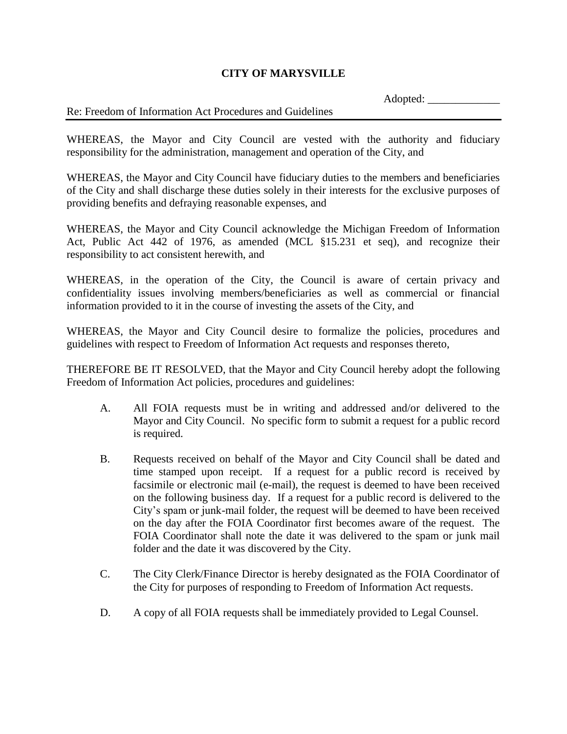## **CITY OF MARYSVILLE**

Adopted:

## Re: Freedom of Information Act Procedures and Guidelines

WHEREAS, the Mayor and City Council are vested with the authority and fiduciary responsibility for the administration, management and operation of the City, and

WHEREAS, the Mayor and City Council have fiduciary duties to the members and beneficiaries of the City and shall discharge these duties solely in their interests for the exclusive purposes of providing benefits and defraying reasonable expenses, and

WHEREAS, the Mayor and City Council acknowledge the Michigan Freedom of Information Act, Public Act 442 of 1976, as amended (MCL §15.231 et seq), and recognize their responsibility to act consistent herewith, and

WHEREAS, in the operation of the City, the Council is aware of certain privacy and confidentiality issues involving members/beneficiaries as well as commercial or financial information provided to it in the course of investing the assets of the City, and

WHEREAS, the Mayor and City Council desire to formalize the policies, procedures and guidelines with respect to Freedom of Information Act requests and responses thereto,

THEREFORE BE IT RESOLVED, that the Mayor and City Council hereby adopt the following Freedom of Information Act policies, procedures and guidelines:

- A. All FOIA requests must be in writing and addressed and/or delivered to the Mayor and City Council. No specific form to submit a request for a public record is required.
- B. Requests received on behalf of the Mayor and City Council shall be dated and time stamped upon receipt. If a request for a public record is received by facsimile or electronic mail (e-mail), the request is deemed to have been received on the following business day. If a request for a public record is delivered to the City's spam or junk-mail folder, the request will be deemed to have been received on the day after the FOIA Coordinator first becomes aware of the request. The FOIA Coordinator shall note the date it was delivered to the spam or junk mail folder and the date it was discovered by the City.
- C. The City Clerk/Finance Director is hereby designated as the FOIA Coordinator of the City for purposes of responding to Freedom of Information Act requests.
- D. A copy of all FOIA requests shall be immediately provided to Legal Counsel.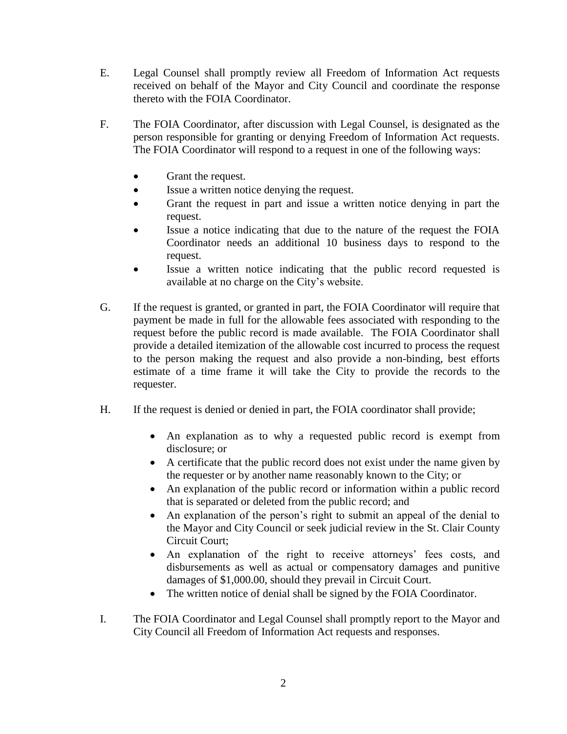- E. Legal Counsel shall promptly review all Freedom of Information Act requests received on behalf of the Mayor and City Council and coordinate the response thereto with the FOIA Coordinator.
- F. The FOIA Coordinator, after discussion with Legal Counsel, is designated as the person responsible for granting or denying Freedom of Information Act requests. The FOIA Coordinator will respond to a request in one of the following ways:
	- Grant the request.
	- Issue a written notice denying the request.
	- Grant the request in part and issue a written notice denying in part the request.
	- Issue a notice indicating that due to the nature of the request the FOIA Coordinator needs an additional 10 business days to respond to the request.
	- Issue a written notice indicating that the public record requested is available at no charge on the City's website.
- G. If the request is granted, or granted in part, the FOIA Coordinator will require that payment be made in full for the allowable fees associated with responding to the request before the public record is made available. The FOIA Coordinator shall provide a detailed itemization of the allowable cost incurred to process the request to the person making the request and also provide a non-binding, best efforts estimate of a time frame it will take the City to provide the records to the requester.
- H. If the request is denied or denied in part, the FOIA coordinator shall provide;
	- An explanation as to why a requested public record is exempt from disclosure; or
	- A certificate that the public record does not exist under the name given by the requester or by another name reasonably known to the City; or
	- An explanation of the public record or information within a public record that is separated or deleted from the public record; and
	- An explanation of the person's right to submit an appeal of the denial to the Mayor and City Council or seek judicial review in the St. Clair County Circuit Court;
	- An explanation of the right to receive attorneys' fees costs, and disbursements as well as actual or compensatory damages and punitive damages of \$1,000.00, should they prevail in Circuit Court.
	- The written notice of denial shall be signed by the FOIA Coordinator.
- I. The FOIA Coordinator and Legal Counsel shall promptly report to the Mayor and City Council all Freedom of Information Act requests and responses.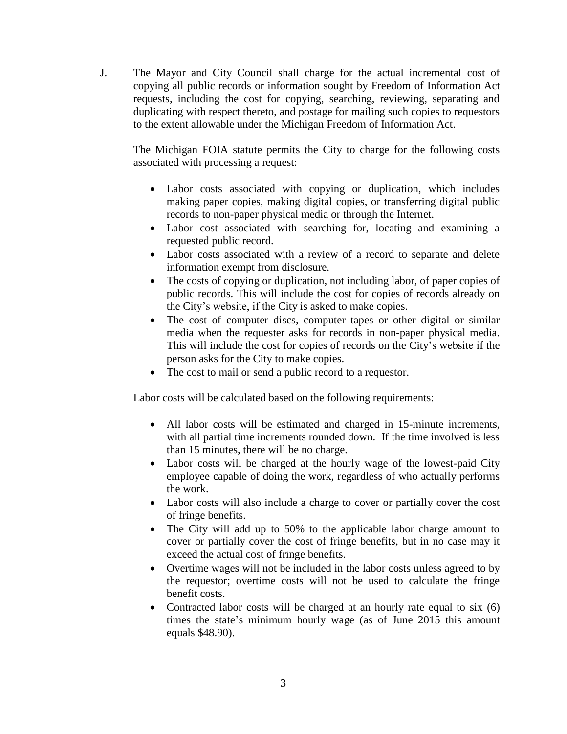J. The Mayor and City Council shall charge for the actual incremental cost of copying all public records or information sought by Freedom of Information Act requests, including the cost for copying, searching, reviewing, separating and duplicating with respect thereto, and postage for mailing such copies to requestors to the extent allowable under the Michigan Freedom of Information Act.

The Michigan FOIA statute permits the City to charge for the following costs associated with processing a request:

- Labor costs associated with copying or duplication, which includes making paper copies, making digital copies, or transferring digital public records to non-paper physical media or through the Internet.
- Labor cost associated with searching for, locating and examining a requested public record.
- Labor costs associated with a review of a record to separate and delete information exempt from disclosure.
- The costs of copying or duplication, not including labor, of paper copies of public records. This will include the cost for copies of records already on the City's website, if the City is asked to make copies.
- The cost of computer discs, computer tapes or other digital or similar media when the requester asks for records in non-paper physical media. This will include the cost for copies of records on the City's website if the person asks for the City to make copies.
- The cost to mail or send a public record to a requestor.

Labor costs will be calculated based on the following requirements:

- All labor costs will be estimated and charged in 15-minute increments, with all partial time increments rounded down. If the time involved is less than 15 minutes, there will be no charge.
- Labor costs will be charged at the hourly wage of the lowest-paid City employee capable of doing the work, regardless of who actually performs the work.
- Labor costs will also include a charge to cover or partially cover the cost of fringe benefits.
- The City will add up to 50% to the applicable labor charge amount to cover or partially cover the cost of fringe benefits, but in no case may it exceed the actual cost of fringe benefits.
- Overtime wages will not be included in the labor costs unless agreed to by the requestor; overtime costs will not be used to calculate the fringe benefit costs.
- Contracted labor costs will be charged at an hourly rate equal to six  $(6)$ times the state's minimum hourly wage (as of June 2015 this amount equals \$48.90).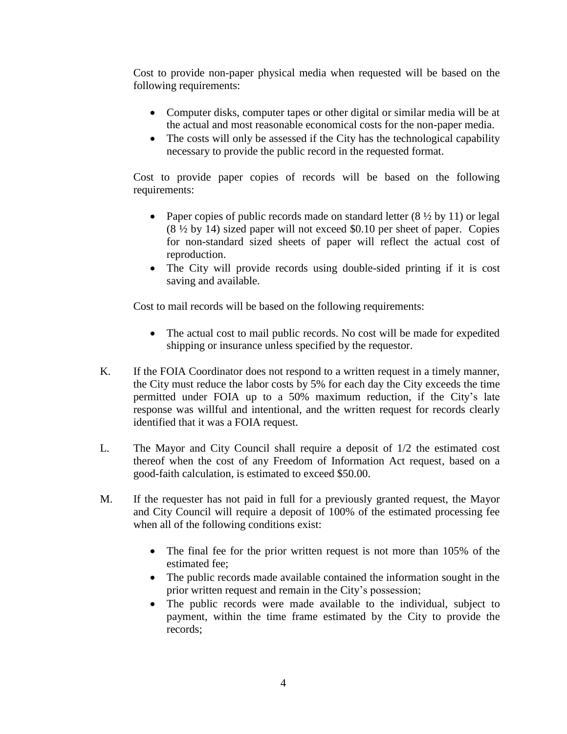Cost to provide non-paper physical media when requested will be based on the following requirements:

- Computer disks, computer tapes or other digital or similar media will be at the actual and most reasonable economical costs for the non-paper media.
- The costs will only be assessed if the City has the technological capability necessary to provide the public record in the requested format.

Cost to provide paper copies of records will be based on the following requirements:

- Paper copies of public records made on standard letter  $(8 \frac{1}{2} \text{ by } 11)$  or legal (8 ½ by 14) sized paper will not exceed \$0.10 per sheet of paper. Copies for non-standard sized sheets of paper will reflect the actual cost of reproduction.
- The City will provide records using double-sided printing if it is cost saving and available.

Cost to mail records will be based on the following requirements:

- The actual cost to mail public records. No cost will be made for expedited shipping or insurance unless specified by the requestor.
- K. If the FOIA Coordinator does not respond to a written request in a timely manner, the City must reduce the labor costs by 5% for each day the City exceeds the time permitted under FOIA up to a 50% maximum reduction, if the City's late response was willful and intentional, and the written request for records clearly identified that it was a FOIA request.
- L. The Mayor and City Council shall require a deposit of 1/2 the estimated cost thereof when the cost of any Freedom of Information Act request, based on a good-faith calculation, is estimated to exceed \$50.00.
- M. If the requester has not paid in full for a previously granted request, the Mayor and City Council will require a deposit of 100% of the estimated processing fee when all of the following conditions exist:
	- The final fee for the prior written request is not more than 105% of the estimated fee;
	- The public records made available contained the information sought in the prior written request and remain in the City's possession;
	- The public records were made available to the individual, subject to payment, within the time frame estimated by the City to provide the records;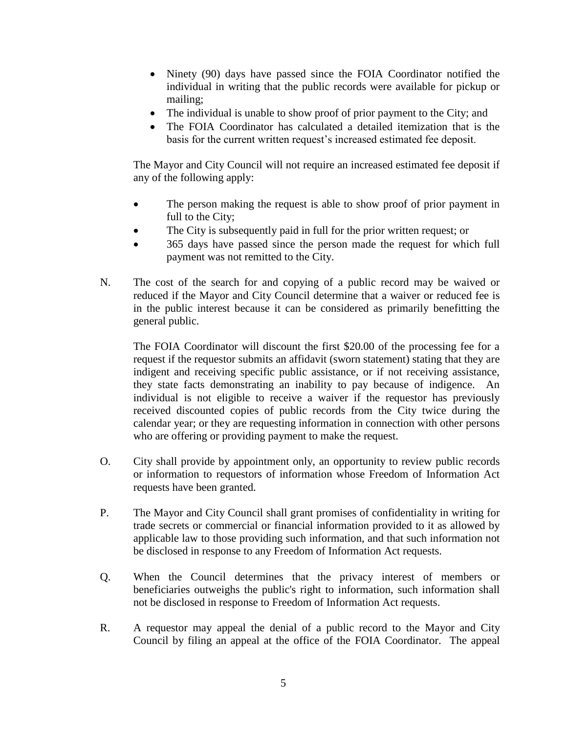- Ninety (90) days have passed since the FOIA Coordinator notified the individual in writing that the public records were available for pickup or mailing;
- The individual is unable to show proof of prior payment to the City; and
- The FOIA Coordinator has calculated a detailed itemization that is the basis for the current written request's increased estimated fee deposit.

The Mayor and City Council will not require an increased estimated fee deposit if any of the following apply:

- The person making the request is able to show proof of prior payment in full to the City;
- The City is subsequently paid in full for the prior written request; or
- 365 days have passed since the person made the request for which full payment was not remitted to the City.
- N. The cost of the search for and copying of a public record may be waived or reduced if the Mayor and City Council determine that a waiver or reduced fee is in the public interest because it can be considered as primarily benefitting the general public.

The FOIA Coordinator will discount the first \$20.00 of the processing fee for a request if the requestor submits an affidavit (sworn statement) stating that they are indigent and receiving specific public assistance, or if not receiving assistance, they state facts demonstrating an inability to pay because of indigence. An individual is not eligible to receive a waiver if the requestor has previously received discounted copies of public records from the City twice during the calendar year; or they are requesting information in connection with other persons who are offering or providing payment to make the request.

- O. City shall provide by appointment only, an opportunity to review public records or information to requestors of information whose Freedom of Information Act requests have been granted.
- P. The Mayor and City Council shall grant promises of confidentiality in writing for trade secrets or commercial or financial information provided to it as allowed by applicable law to those providing such information, and that such information not be disclosed in response to any Freedom of Information Act requests.
- Q. When the Council determines that the privacy interest of members or beneficiaries outweighs the public's right to information, such information shall not be disclosed in response to Freedom of Information Act requests.
- R. A requestor may appeal the denial of a public record to the Mayor and City Council by filing an appeal at the office of the FOIA Coordinator. The appeal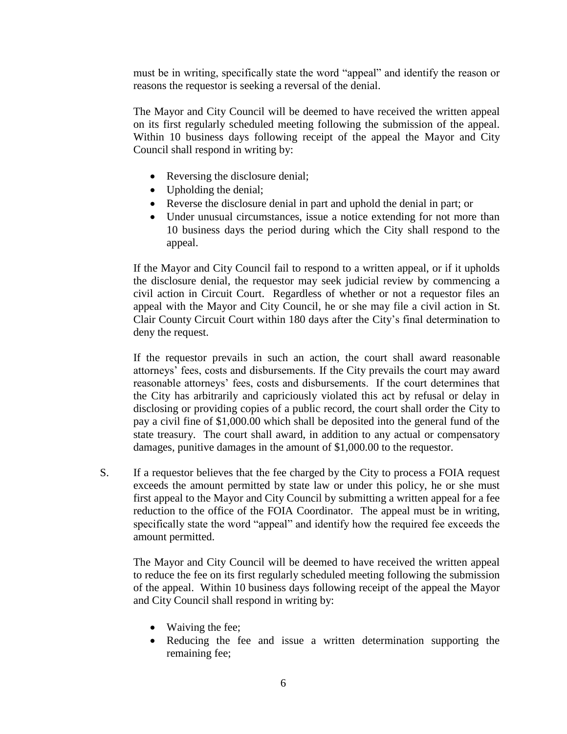must be in writing, specifically state the word "appeal" and identify the reason or reasons the requestor is seeking a reversal of the denial.

The Mayor and City Council will be deemed to have received the written appeal on its first regularly scheduled meeting following the submission of the appeal. Within 10 business days following receipt of the appeal the Mayor and City Council shall respond in writing by:

- Reversing the disclosure denial;
- Upholding the denial:
- Reverse the disclosure denial in part and uphold the denial in part; or
- Under unusual circumstances, issue a notice extending for not more than 10 business days the period during which the City shall respond to the appeal.

If the Mayor and City Council fail to respond to a written appeal, or if it upholds the disclosure denial, the requestor may seek judicial review by commencing a civil action in Circuit Court. Regardless of whether or not a requestor files an appeal with the Mayor and City Council, he or she may file a civil action in St. Clair County Circuit Court within 180 days after the City's final determination to deny the request.

If the requestor prevails in such an action, the court shall award reasonable attorneys' fees, costs and disbursements. If the City prevails the court may award reasonable attorneys' fees, costs and disbursements. If the court determines that the City has arbitrarily and capriciously violated this act by refusal or delay in disclosing or providing copies of a public record, the court shall order the City to pay a civil fine of \$1,000.00 which shall be deposited into the general fund of the state treasury. The court shall award, in addition to any actual or compensatory damages, punitive damages in the amount of \$1,000.00 to the requestor.

S. If a requestor believes that the fee charged by the City to process a FOIA request exceeds the amount permitted by state law or under this policy, he or she must first appeal to the Mayor and City Council by submitting a written appeal for a fee reduction to the office of the FOIA Coordinator. The appeal must be in writing, specifically state the word "appeal" and identify how the required fee exceeds the amount permitted.

The Mayor and City Council will be deemed to have received the written appeal to reduce the fee on its first regularly scheduled meeting following the submission of the appeal. Within 10 business days following receipt of the appeal the Mayor and City Council shall respond in writing by:

- Waiving the fee;
- Reducing the fee and issue a written determination supporting the remaining fee;